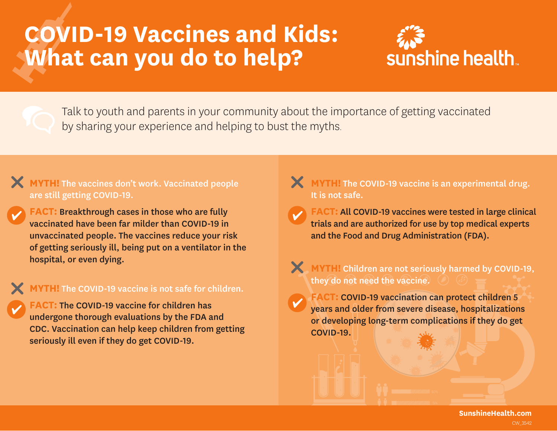## **COVID-19 Vaccines and Kids: What can you do to help?**



Talk to youth and parents in your community about the importance of getting vaccinated by sharing your experience and helping to bust the myths.

## **MYTH!** The vaccines don't work. Vaccinated people are still getting COVID-19.

**FACT:** Breakthrough cases in those who are fully vaccinated have been far milder than COVID-19 in unvaccinated people. The vaccines reduce your risk of getting seriously ill, being put on a ventilator in the hospital, or even dying.

## **MYTH!** The COVID-19 vaccine is not safe for children.

**FACT:** The COVID-19 vaccine for children has undergone thorough evaluations by the FDA and CDC. Vaccination can help keep children from getting seriously ill even if they do get COVID-19.

## **X** MYTH! The COVID-19 vaccine is an experimental drug. It is not safe.

**FACT:** All COVID-19 vaccines were tested in large clinical trials and are authorized for use by top medical experts and the Food and Drug Administration (FDA).

## **MYTH!** Children are not seriously harmed by COVID-19, they do not need the vaccine.

**FACT:** COVID-19 vaccination can protect children 5 years and older from severe disease, hospitalizations or developing long-term complications if they do get COVID-19.